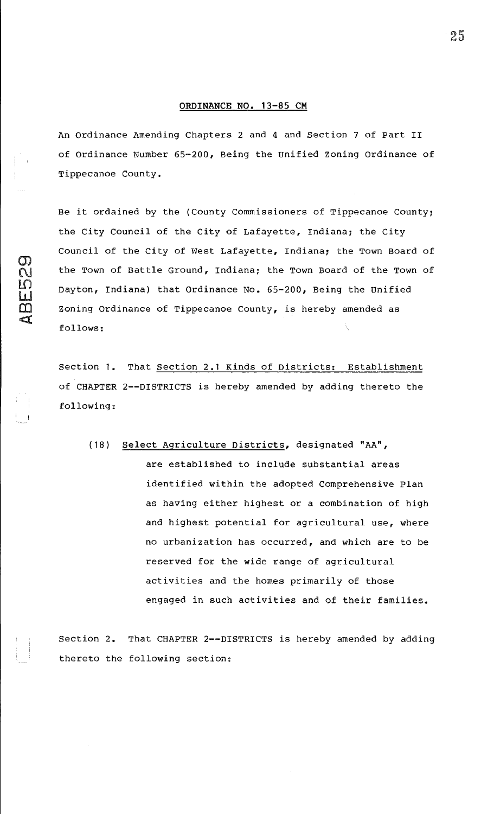## **ORDINANCE NO. 13-85 CM**

An Ordinance Amending Chapters 2 and 4 and Section 7 of Part II of Ordinance Number 65-200, Being the Unified zoning Ordinance of Tippecanoe County.

Be it ordained by the (County Commissioners of Tippecanoe County; the City Council of the City of Lafayette, Indiana; the City Council of the City of West Lafayette, Indiana; the Town Board of the Town of Battle Ground, Indiana; the Town Board of the Town of Dayton, Indiana) that Ordinance No. 65-200, Being the Unified Zoning Ordinance of Tippecanoe County, is hereby amended as follows:

 $\sigma$  $\Omega$ 

 $\frac{1}{2}$  $\overline{\mathbb{C}}$  $\blacksquare$ 

> Section 1. That Section 2.1 Kinds of Districts: Establishment of CHAPTER 2--DISTRICTS is hereby amended by adding thereto the following:

(18) Select Agriculture Districts, designated "AA", are established to include substantial areas identified within the adopted Comprehensive Plan as having either highest or a combination of high and highest potential for agricultural use, where no urbanization has occurred, and which are to be reserved for the wide range of agricultural activities and the homes primarily of those engaged in such activities and of their families.

Section 2. That CHAPTER 2--DISTRICTS is hereby amended by adding thereto the following section: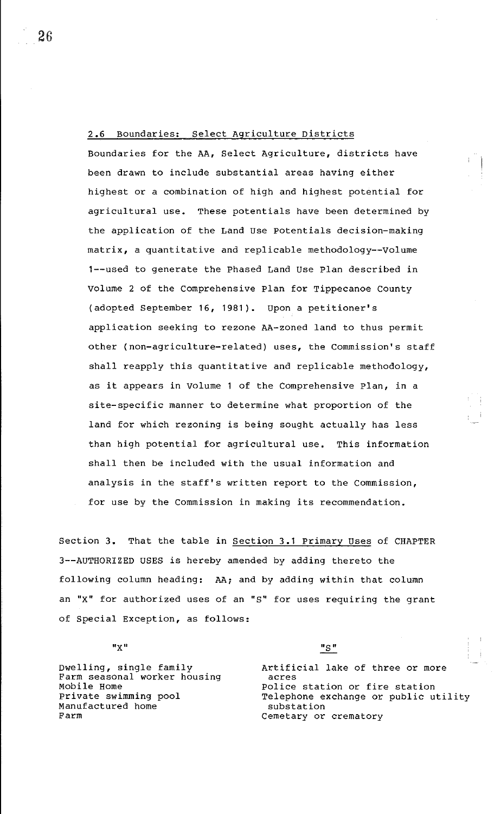2.6 Boundaries: Select Agriculture Districts

Boundaries for the AA, Select Agriculture, districts have been drawn to include substantial areas having either highest or a combination of high and highest potential for agricultural use. These potentials have been determined by the application of the Land use Potentials decision-making matrix, a quantitative and replicable methodology--Volume 1--used to generate the Phased Land use Plan described in Volume 2 of the comprehensive Plan for Tippecanoe County (adopted September 16, 1981). Upon a petitioner's application seeking to rezone AA-zoned land to thus permit other (non-agriculture-related) uses, the Commission's staff shall reapply this quantitative and replicable methodology, as it appears in Volume 1 of the Comprehensive Plan, in a site-specific manner to determine what proportion of the land for which rezoning is being sought actually has less than high potential for agricultural use. This information shall then be included with the usual information and analysis in the staff's written report to the Commission, for use by the Commission in making its recommendation.

Section 3. That the table in section 3.1 Primary uses of CHAPTER 3--AUTHORIZED USES is hereby amended by adding thereto the following column heading: AA; and by adding within that column an "X" for authorized uses of an "s" for uses requiring the grant of Special Exception, as follows:

**"Xu** 

Dwelling, single family Farm seasonal worker housing Mobile Home Private swimming pool Manufactured home Farm

 $"S"$ 

Artificial lake of three or more acres Police station or fire station Telephone exchange or public utility substation Cemetary or crematory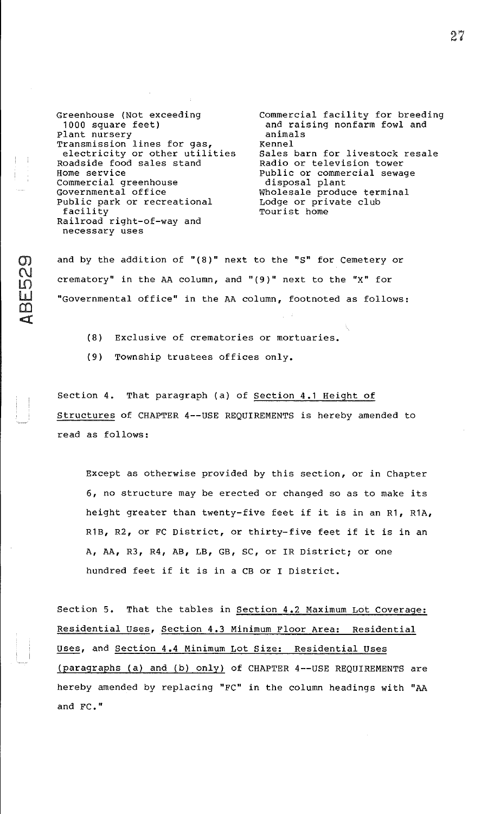Greenhouse {Not exceeding 1000 square feet) Plant nursery Transmission lines for gas, electricity or other utilities Roadside food sales stand Home service Commercial greenhouse Governmental office Public park or recreational facility Railroad right-of-way and necessary uses

Commercial facility for breeding and raising nonfarm fowl and animals Kennel Sales barn for livestock resale Radio or television tower Public or commercial sewage disposal plant Wholesale produce terminal Lodge or private club Tourist home

and by the addition of "{8)" next to the "S" for Cemetery or crematory" in the AA column, and " $(9)$ " next to the "X" for "Governmental office" in the AA column, footnoted as follows:

- (8) Exclusive of crematories or mortuaries.
- (9) Township trustees offices only.

Section 4. That paragraph {a) of Section 4.1 Height of Structures of CHAPTER 4--USE REQUIREMENTS is hereby amended to read as follows:

Except as otherwise provided by this section, or in Chapter 6, no structure may be erected or changed so as to make its height greater than twenty-five feet if it is in an R1, R1A, R1B, R2, or FC District, or thirty-five feet if it is in an A, AA, R3, R4, AB, LB, GB, SC, or IR District; or one hundred feet if it is in a CB or I District.

Section 5. That the tables in Section 4.2 Maximum Lot Coverage: Residential Uses, Section 4.3 Minimum Floor Area: Residential uses, and section 4.4 Minimum Lot Size: Residential uses {paragraphs {a) and {b) only) of CHAPTER 4--USE REQUIREMENTS are hereby amended by replacing "FC" in the column headings with "AA and FC."

27